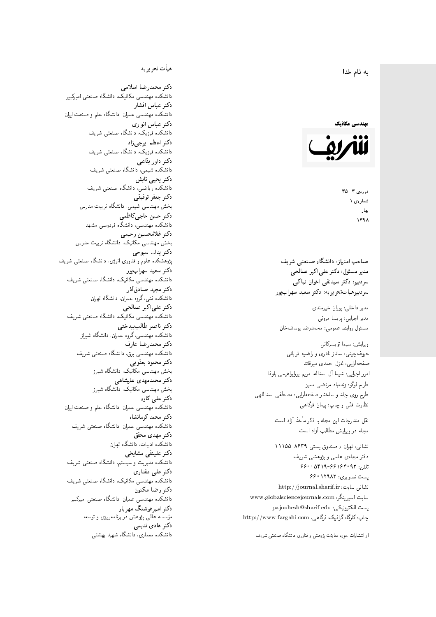#### $\overline{\phantom{a}}$ ز<br>ن به نام خدا .<br>.

## مهندسی مکانیک



دورهي ٣- ٣۵ شمارەي ۱ بهار 1398

صاحب امتیاز: دانشگاه صنعتی شریف  $\mathfrak{c}$ مدیر مسئول: دکتر علیاکبر صالحی  $\mathfrak{c}$ سردبیرهیاتتحر یر یه : دکتر سعید سهرابپور

مدير داخلى: پوران خيرمندى<br>. مدير اجرايي: پريسا مروتي<br>. مسئول روابط عمومی: محمدرضا يوسفخان<br>.

ويرايش: سيما تويسركان<sub>ى</sub><br>· طراح لوگو: زندهیاد مرتضمی ممیز<br>ا طرح روى جلد و ساختار صفحه[رایی: مصطفى اسداللهی<br>بنالمستقد نظارت فنَّى و چاپ: پيمان فرگاهى<br>.

نقل مندرجات این مجله با ذکر مأخذ آزاد است.<br>مجله در ویوایش مطالب آزاد است.

نشانی: تهران / صندوق پستی ۸۶۳۹-۱۱۱۵۵ دفتر مجلهى علمى و پژوهشى شريف 7600 06196-197 و ۶۶۰ ar  $69001740$  m صوبری: ۲۹۸۳ نشانی سایت: http://journal.sharif.ir<br>ء سایت اسپرینگر: www.globalsciencejournals.com<br>افکار کافی کے مطابق کافیل کے مطابق کافیل کے مطابق کافیل کے مطابق کافیل کرنا pajouhesh@sharif.edu :يست الكترونيكي:  ${\rm http://www.fargahi.com}$  چاپ: کارگاه گرافیک فرگاهی، سردبیر: دکتتر سیدتقی اخوان نیماکی<br>سردبیرهیات تحریریه: دکتر سعید سهواب پور<br>مدیر داخلی: پریسا مروتی<br>منبر اجرایی: پریسا مروتی<br>ویرایش: سیما تریسکانی<br>حدوق چینی: ساناز نادری و راضیه قربانی<br>حدوق چینی: ساناز نادری و راضیه قربانی<br>

#### هيأت تحريريه

دكتر محمدرضا اسلامى مکانیک، دانشگاه صنعتی امیرکبیر<br>. دكتر عباس افشار دانشکده مهندسی عمران، دانشگاه علم و صنعت ایران<br>بحمد مصلحات دكتر عباس انوارى دانشکده فیزیک، دانشگاه صنعتبی شریف<br>محمد استانسا دکتر اعظم ايرج<mark>ي</mark> زاد ، دانشگاه صنعتبی شریف<br>. دکتر داور بقاع**ی** دانشکده شیمی، دانشگاه صنعتی شریف<br>دکتر یحیی تابش دانشکده ریاضی، دانشگاه صنعتی شریف<br>برمسمنستانستان دكتر جعفر توفيقي بخش مهندسی شیمی، دانشگاه تربیت مدرس<br>سم دكتر حسن حاجىكاظمي دانشکده مهندسی، دانشگاه فردوسی مشهد<br>کستفلار م دكتر غلامحسين رحيمي هندسی مکانیک، دانشگاه تربیت مدرس<br>ا دکتر یدا... سبوحی یژوهشکده علوم و فناوری انرژی، دانشگاه صنعتی شریف دکتر سعید سهرابپور<br>دانشکده مهندسی مکانیک، دانشگاه صنعتی شریف دکتر مجيد صادقاذر ا<br>. دانشکده فنی، گروه عمران، دانشگاه تهران<br>یکتریهای ایکمیسیا دکتر علیاکبر صالحی = دانشکده مهندسی مکانیک، دانشگاه صنعتی شریف<br>یکستا دکتر ناصر طالب بیدختی r  $\mathfrak{c}$ دانشکده مهندسی، گروه عمران، دانشگاه شیراز<br>مکتب مصدر مقبل علم دكتر محمدرضا عارف دانشکده مهندسی برق، دانشگاه صنعتی شریف<br><mark>دکتر محمود یعقوبی</mark> هندسی مکانیک، دانشگاه شیراز<br>مسدوده مصلوفیاه دکتر محمدمهدی علیشاهی بخش مهندسی مکانیک، دانشگاه شیراز<br>مکتبهای کابی دکتر علی کاوہ دانشکده مهندسی عمران، دانشگاه علم و صنعت ایران<br>بحت دکتر محمد کرمانشاه .<br>. دانشکده مهندسی عمران، دانشگاه صنعتی شریف<br>مکتبر دولت مستق دکتر مهد*ی* محقق دانشکده ادبیات، دانشگاه تهران دکتر علینقی مشایخ<u>ی</u> دانشکده مدیریت و سیستم، دانشگاه صنعتبی شریف<br>محمد باست دکتر عل*ی* مقداری مکانیک، دانشگاه صنعتی شریف<br>. دكتر رضا مكنون دانشکده مهندسی عمران. دانشگاه صنعتی امیرکبیر<br>محمد است میگ دکتر امیرهوشنگ مهریار سه عالمی پژوهش در برنامهریزی و توسعه<br>۱۹ادم خار موسه<br>بر ءُ<br>ك دکتر هادی ندیمی  $\overline{a}$ المحلكة المحلمة التي تتوقف المحلمة التي تتوقف المحلمة التي تتوقف المحلمة التي تتوقف المحلمة التي تتوقف المحلمة<br>المحلمة التي تتوقف المحلمة التي تتوقف المحلمة التي تتوقف المحلمة التي تتوقف المحلمة التي تتوقف المحلمة التي تت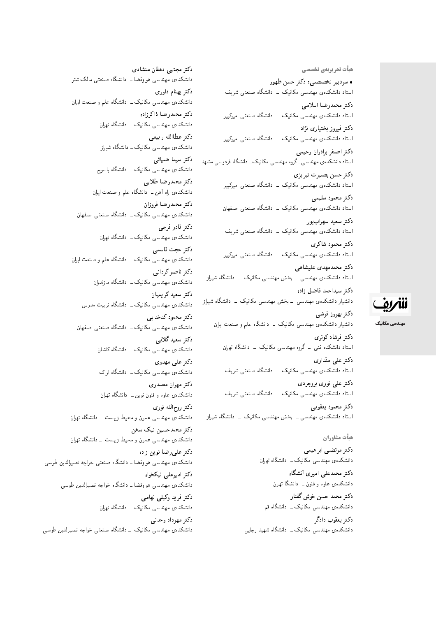هیأت تحریریهی تخصصی • سردبیر تخصصی: دکتر حسن ظهور استاد دانشکدهی مهندسی مکانیک \_ دانشگاه صنعتی شریف دكتر محمدرضا اسلامي استاد دانشکدهی مهندسی مکانیک <mark>ـ دانشگاه صنعتی امیرکبیر</mark> دکتر فیروز بختیار*ی* نژاد استاد دانشکدهی مهندسی مکانیک ۔ دانشگاه صنعتی امیرکبیر دكتر اصغر برادران رحيمي استاد دانشکدهی مهندسی ـ گروه مهندسی مکانیک ـ دانشگاه فردوسی مشهد دكتر حسن بصيرت تبريزي استاد دانشکدهی مهندسی مکانیک <mark>ـ دانشگاه صنعتی امیرکبیر</mark> دكتر محمود سليمي استاد دانشکدهی مهندسی مکانیک <mark>– دانشگاه صنعتی اصفهان</mark> دكتر سعيد سهراب پور استاد دانشکدهی مهندسی مکانیک \_ دانشگاه صنعتی شریف دكتر محمود شاكرى استاد دانشکدهی مهندسی مکانیک \_ دانشگاه صنعتی امیرکبیر

دكتر محمدمهدى عليشاهي استاد دانشکدهی مهندسی - بخش مهندسی مکانیک - دانشگاه شی<sub>ل</sub>از

دكتر سيداحمد فاضل زاده دانشیار دانشکدهی مهندسی <mark>– بخش مهندسی مکانیک – دانشگاه</mark> شیراز

دكتر بهروز فرشى دانشیار دانشکدهی مهندسی مکانیک - دانشگاه علم و صنعت ایران

دكتر فرشادكوثرى استاد دانشکده فنبی \_ گروه مهندسی مکانیک \_ دانشگاه تهران

دکتر علی مقدار*ی* استاد دانشکدهی مهندسی مکانیک \_ دانشگاه صنعتی شریف دکتر علی نوری بروجردی

استاد دانشکدهی مهندسی مکانیک - دانشگاه صنعتی شریف دكتر محمود يعقوبي

استاد دانشکدهی مهندسی ــ بخش مهندسی مکانیک ــ دانشگاه شی<sub>ل</sub>از

### هیأت مشاوران

دكتر مرتضىي ابراهيمي دانشکده ی مهندسی مکانیک ـــ دانشگاه تهران دكتر محمدعلى اميري أتشكاه

دانشکده، علوم و فنون ــ دانشگا تهران

دكتر محمد حسن خوش گفتار دانشکدهی مهندسی مکانیک ـــ دانشگاه قم

دکتر یعقوب دادگر دانشکدهی مهندسی مکانیک ــ دانشگاه شهید رجایی

دکتر مجتبی دهقان منشادی دانشکدهى مهندسى هواوفضا ـــ دانشگاه صنعتى مالک\شتر دكتر بهنام داورى دانشکدهی مهندسی مکانیک ــ دانشگاه علم و صنعت ایران دكتر محمدرضا ذاكرزاده دانشکدهی مهندسی مکانیک ـــ دانشگاه تهران دكتر عطاالله ربيعي دانشکدهی مهندسی مکانیک ــ دانشگاه شیراز دکتر سیما ضیائ*ی* دانشکده ی مهندسی مکانیک ــ دانشگاه یاسوج دكتر محمدرضا طلايي دانشکدهی راه آهن ــ دانشگاه علم و صنعت ایران دكتر محمدرضا فروزان دانشکدهی مهندسی مکانیک ــ دانشگاه صنعتی اصفهان دكتر قادر فرجى دانشکدهی مهندسی مکانیک ــ دانشگاه تهران دكتر حجت قاسمى دانشکدهی مهندسی مکانیک ــ دانشگاه علم و صنعت ایران دكتر ناصر كرداني دانشکدهی مهندسی مکانیک ــ دانشگاه مازندران دكتر سعيد كريميان دانشکدهی مهندسی مکانیک ــ دانشگاه تربیت مدرس دکتر محمود کدخدایی دانشکدهی مهندسی مکانیک ــ دانشگاه صنعتی اصفهان دكتر سعيد گلابي دانشکدهی مهندسی مکانیک ــ دانشگاه کاشان دكتر على مهدوى دانشکدهی مهندسی مکانیک ــ دانشگاه اراک دكتر مهران مصدرى دانشکده، علموم و فنون نوین ـــ دانشگاه تهران دكتر روح|لله نورى دانشکده، مهندسی عمران و محیط زیست ــ دانشگاه تهران دکتر محمدحسین نیک سخن دانشکدهی مهندسی عمران و محیط زیست \_ دانشگاه تهران دكتر على رضا نوين زاده دانشکدهی مهندسی هواوفضا ــ دانشگاه صنعتی خواجه نصیرالدین طوسی دکتر امیرعلی نیکخواه دانشکدهی مهندسی هواوفضا ــ دانشگاه خواجه نصیرالدین طوسی دکتر فرید وکیلی تهامی دانشکدهی مهندسی مکانیک \_ دانشگاه تهران دکتر مهرداد وحدتی دانشکدهی مهندسی مکانیک \_ دانشگاه صنعتی خواجه نصیرالدین طوسی



مهندسی مکانیک